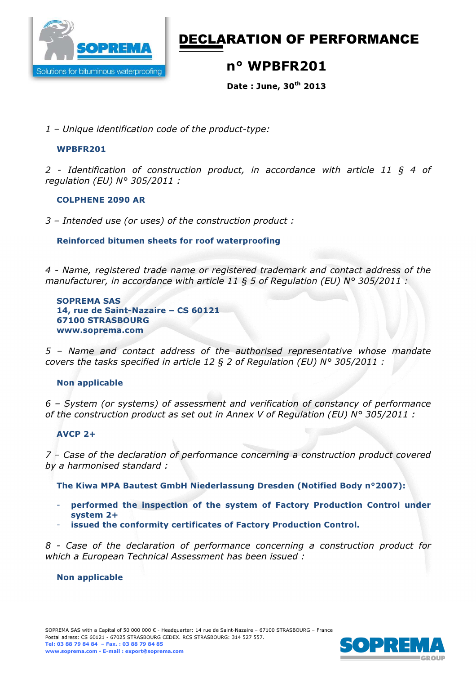

# DECLARATION OF PERFORMANCE

## n° WPBFR201

Date : June, 30th 2013

*1 – Unique identification code of the product-type:* 

### WPBFR201

*2 - Identification of construction product, in accordance with article 11 § 4 of regulation (EU) N° 305/2011 :* 

#### COLPHENE 2090 AR

*3 – Intended use (or uses) of the construction product :*

#### Reinforced bitumen sheets for roof waterproofing

*4 - Name, registered trade name or registered trademark and contact address of the manufacturer, in accordance with article 11 § 5 of Regulation (EU) N° 305/2011 :* 

SOPREMA SAS 14, rue de Saint-Nazaire – CS 60121 67100 STRASBOURG www.soprema.com

*5 – Name and contact address of the authorised representative whose mandate covers the tasks specified in article 12 § 2 of Regulation (EU) N° 305/2011 :* 

## Non applicable

*6 – System (or systems) of assessment and verification of constancy of performance of the construction product as set out in Annex V of Regulation (EU) N° 305/2011 :* 

## AVCP 2+

*7 – Case of the declaration of performance concerning a construction product covered by a harmonised standard :* 

The Kiwa MPA Bautest GmbH Niederlassung Dresden (Notified Body n°2007):

- performed the inspection of the system of Factory Production Control under system 2+
- issued the conformity certificates of Factory Production Control.

*8 - Case of the declaration of performance concerning a construction product for which a European Technical Assessment has been issued :* 

#### Non applicable